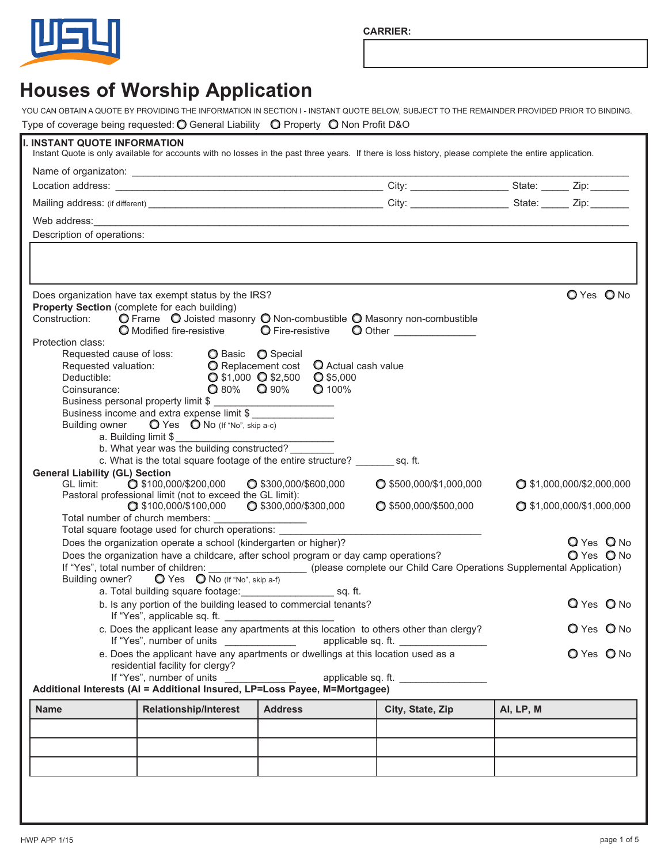**CARRIER:**



## **Houses of Worship Application**

YOU CAN OBTAIN A QUOTE BY PROVIDING THE INFORMATION IN SECTION I - INSTANT QUOTE BELOW, SUBJECT TO THE REMAINDER PROVIDED PRIOR TO BINDING. Type of coverage being requested:  $\bigcirc$  General Liability  $\bigcirc$  Property  $\bigcirc$  Non Profit D&O

| I. INSTANT QUOTE INFORMATION                                                                                                                                                                                                                                                                                                                                                                                                    |                                                                                                                                                                                                                                       |                                                                                           | Instant Quote is only available for accounts with no losses in the past three years. If there is loss history, please complete the entire application.                                                                               |                             |
|---------------------------------------------------------------------------------------------------------------------------------------------------------------------------------------------------------------------------------------------------------------------------------------------------------------------------------------------------------------------------------------------------------------------------------|---------------------------------------------------------------------------------------------------------------------------------------------------------------------------------------------------------------------------------------|-------------------------------------------------------------------------------------------|--------------------------------------------------------------------------------------------------------------------------------------------------------------------------------------------------------------------------------------|-----------------------------|
|                                                                                                                                                                                                                                                                                                                                                                                                                                 |                                                                                                                                                                                                                                       |                                                                                           |                                                                                                                                                                                                                                      |                             |
|                                                                                                                                                                                                                                                                                                                                                                                                                                 |                                                                                                                                                                                                                                       |                                                                                           |                                                                                                                                                                                                                                      |                             |
|                                                                                                                                                                                                                                                                                                                                                                                                                                 |                                                                                                                                                                                                                                       |                                                                                           |                                                                                                                                                                                                                                      |                             |
|                                                                                                                                                                                                                                                                                                                                                                                                                                 |                                                                                                                                                                                                                                       |                                                                                           | Web address: <u>example and the contract of the contract of the contract of the contract of the contract of the contract of the contract of the contract of the contract of the contract of the contract of the contract of the </u> |                             |
| Description of operations:                                                                                                                                                                                                                                                                                                                                                                                                      |                                                                                                                                                                                                                                       |                                                                                           |                                                                                                                                                                                                                                      |                             |
|                                                                                                                                                                                                                                                                                                                                                                                                                                 | Does organization have tax exempt status by the IRS?                                                                                                                                                                                  |                                                                                           |                                                                                                                                                                                                                                      | O Yes O No                  |
| Property Section (complete for each building)<br>Protection class:<br>Requested cause of loss:                                                                                                                                                                                                                                                                                                                                  | Construction: <b>O</b> Frame  O Joisted masonry  O Non-combustible  O Masonry non-combustible<br>◯ Modified fire-resistive ◯ Fire-resistive                                                                                           |                                                                                           | O Other                                                                                                                                                                                                                              |                             |
| Requested valuation:<br>Deductible:<br>Deductible:<br>Coinsurance:                                                                                                                                                                                                                                                                                                                                                              | ◯ Basic ◯ Special<br>$\Omega$ 80% $\Omega$ 90%<br>Business income and extra expense limit \$<br>Building owner $\bigcirc$ Yes $\bigcirc$ No (If "No", skip a-c)<br>a. Building limit \$<br>b. What year was the building constructed? | O Replacement cost Q Actual cash value<br>$Q$ \$1,000 $Q$ \$2,500 $Q$ \$5,000<br>$Q$ 100% |                                                                                                                                                                                                                                      |                             |
| <b>General Liability (GL) Section</b>                                                                                                                                                                                                                                                                                                                                                                                           | c. What is the total square footage of the entire structure? sq. ft.                                                                                                                                                                  |                                                                                           |                                                                                                                                                                                                                                      |                             |
| GL limit:                                                                                                                                                                                                                                                                                                                                                                                                                       | $\bigcirc$ \$100,000/\$200,000 $\bigcirc$ \$300,000/\$600,000                                                                                                                                                                         |                                                                                           | $Q$ \$500,000/\$1,000,000                                                                                                                                                                                                            | $Q$ \$1,000,000/\$2,000,000 |
|                                                                                                                                                                                                                                                                                                                                                                                                                                 | Pastoral professional limit (not to exceed the GL limit):<br>$\bigcirc$ \$100,000/\$100,000 $\bigcirc$ \$300,000/\$300,000                                                                                                            |                                                                                           | $Q$ \$500,000/\$500,000                                                                                                                                                                                                              | $Q$ \$1,000,000/\$1,000,000 |
|                                                                                                                                                                                                                                                                                                                                                                                                                                 |                                                                                                                                                                                                                                       |                                                                                           |                                                                                                                                                                                                                                      |                             |
| Total square footage used for church operations: ______<br>Q Yes Q No<br>Does the organization operate a school (kindergarten or higher)?<br>O Yes O No<br>Does the organization have a childcare, after school program or day camp operations?<br>If "Yes", total number of children: (please complete our Child Care Operations Supplemental Application)<br>Building owner? $\bigcirc$ Yes $\bigcirc$ No (If "No", skip a-f) |                                                                                                                                                                                                                                       |                                                                                           |                                                                                                                                                                                                                                      |                             |
|                                                                                                                                                                                                                                                                                                                                                                                                                                 | a. Total building square footage: _________________________ sq. ft.                                                                                                                                                                   |                                                                                           |                                                                                                                                                                                                                                      |                             |
|                                                                                                                                                                                                                                                                                                                                                                                                                                 | b. Is any portion of the building leased to commercial tenants?<br>If "Yes", applicable sq. ft.                                                                                                                                       |                                                                                           |                                                                                                                                                                                                                                      | Q Yes O No                  |
|                                                                                                                                                                                                                                                                                                                                                                                                                                 | If "Yes", number of units                                                                                                                                                                                                             |                                                                                           | c. Does the applicant lease any apartments at this location to others other than clergy?<br>applicable sq. ft.                                                                                                                       | O Yes O No                  |
|                                                                                                                                                                                                                                                                                                                                                                                                                                 | e. Does the applicant have any apartments or dwellings at this location used as a<br>residential facility for clergy?<br>If "Yes", number of units                                                                                    |                                                                                           |                                                                                                                                                                                                                                      | O Yes O No                  |
|                                                                                                                                                                                                                                                                                                                                                                                                                                 | Additional Interests (AI = Additional Insured, LP=Loss Payee, M=Mortgagee)                                                                                                                                                            |                                                                                           | applicable sq. ft.                                                                                                                                                                                                                   |                             |
| <b>Name</b>                                                                                                                                                                                                                                                                                                                                                                                                                     | <b>Relationship/Interest</b>                                                                                                                                                                                                          | <b>Address</b>                                                                            | City, State, Zip                                                                                                                                                                                                                     | AI, LP, M                   |
|                                                                                                                                                                                                                                                                                                                                                                                                                                 |                                                                                                                                                                                                                                       |                                                                                           |                                                                                                                                                                                                                                      |                             |
|                                                                                                                                                                                                                                                                                                                                                                                                                                 |                                                                                                                                                                                                                                       |                                                                                           |                                                                                                                                                                                                                                      |                             |
|                                                                                                                                                                                                                                                                                                                                                                                                                                 |                                                                                                                                                                                                                                       |                                                                                           |                                                                                                                                                                                                                                      |                             |
|                                                                                                                                                                                                                                                                                                                                                                                                                                 |                                                                                                                                                                                                                                       |                                                                                           |                                                                                                                                                                                                                                      |                             |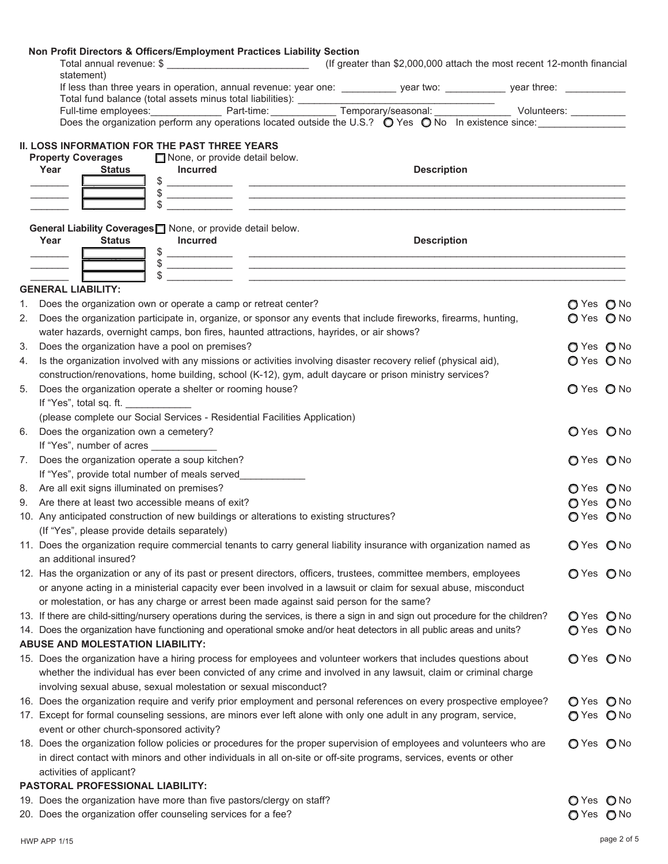|    | Non Profit Directors & Officers/Employment Practices Liability Section<br>Total annual revenue: \$ __________________________________(If greater than \$2,000,000 attach the most recent 12-month financial<br>statement)                                                                                                                                                                                                                                        |                          |  |
|----|------------------------------------------------------------------------------------------------------------------------------------------------------------------------------------------------------------------------------------------------------------------------------------------------------------------------------------------------------------------------------------------------------------------------------------------------------------------|--------------------------|--|
|    | If less than three years in operation, annual revenue: year one: ___________ year two: ___________ year three: _________                                                                                                                                                                                                                                                                                                                                         |                          |  |
|    |                                                                                                                                                                                                                                                                                                                                                                                                                                                                  |                          |  |
|    | Does the organization perform any operations located outside the U.S.? $\bigcirc$ Yes $\bigcirc$ No In existence since:                                                                                                                                                                                                                                                                                                                                          |                          |  |
|    | <b>II. LOSS INFORMATION FOR THE PAST THREE YEARS</b><br><b>Property Coverages</b><br>$\Box$ None, or provide detail below.<br><b>Description</b><br>Year<br><b>Incurred</b><br>Status___                                                                                                                                                                                                                                                                         |                          |  |
|    | $\frac{1}{2}$ $\frac{1}{2}$ $\frac{1}{2}$ $\frac{1}{2}$ $\frac{1}{2}$ $\frac{1}{2}$ $\frac{1}{2}$ $\frac{1}{2}$ $\frac{1}{2}$ $\frac{1}{2}$ $\frac{1}{2}$ $\frac{1}{2}$ $\frac{1}{2}$ $\frac{1}{2}$ $\frac{1}{2}$ $\frac{1}{2}$ $\frac{1}{2}$ $\frac{1}{2}$ $\frac{1}{2}$ $\frac{1}{2}$ $\frac{1}{2}$ $\frac{1}{2}$<br>$\frac{1}{2}$<br>\$                                                                                                                       |                          |  |
|    | General Liability Coverages <sup>1</sup> None, or provide detail below.<br><b>Description</b><br>Year<br><b>Incurred</b><br><b>Status</b><br>$\frac{1}{2}$ $\frac{1}{2}$ $\frac{1}{2}$ $\frac{1}{2}$ $\frac{1}{2}$ $\frac{1}{2}$ $\frac{1}{2}$ $\frac{1}{2}$ $\frac{1}{2}$ $\frac{1}{2}$ $\frac{1}{2}$ $\frac{1}{2}$ $\frac{1}{2}$ $\frac{1}{2}$ $\frac{1}{2}$ $\frac{1}{2}$ $\frac{1}{2}$ $\frac{1}{2}$ $\frac{1}{2}$ $\frac{1}{2}$ $\frac{1}{2}$ $\frac{1}{2}$ |                          |  |
|    | $\frac{1}{2}$                                                                                                                                                                                                                                                                                                                                                                                                                                                    |                          |  |
|    | <b>GENERAL LIABILITY:</b>                                                                                                                                                                                                                                                                                                                                                                                                                                        |                          |  |
|    | 1. Does the organization own or operate a camp or retreat center?                                                                                                                                                                                                                                                                                                                                                                                                | O Yes O No               |  |
|    | 2. Does the organization participate in, organize, or sponsor any events that include fireworks, firearms, hunting,<br>water hazards, overnight camps, bon fires, haunted attractions, hayrides, or air shows?                                                                                                                                                                                                                                                   | O Yes O No               |  |
| 3. | Does the organization have a pool on premises?                                                                                                                                                                                                                                                                                                                                                                                                                   | O Yes O No               |  |
| 4. | Is the organization involved with any missions or activities involving disaster recovery relief (physical aid),                                                                                                                                                                                                                                                                                                                                                  | O Yes O No               |  |
|    | construction/renovations, home building, school (K-12), gym, adult daycare or prison ministry services?                                                                                                                                                                                                                                                                                                                                                          |                          |  |
| 5. | Does the organization operate a shelter or rooming house?<br>If "Yes", total sq. ft.                                                                                                                                                                                                                                                                                                                                                                             | O Yes O No               |  |
|    | (please complete our Social Services - Residential Facilities Application)                                                                                                                                                                                                                                                                                                                                                                                       |                          |  |
|    | 6. Does the organization own a cemetery?                                                                                                                                                                                                                                                                                                                                                                                                                         | O Yes O No               |  |
|    | If "Yes", number of acres ____________                                                                                                                                                                                                                                                                                                                                                                                                                           |                          |  |
|    | 7. Does the organization operate a soup kitchen?                                                                                                                                                                                                                                                                                                                                                                                                                 | O Yes O No               |  |
|    | If "Yes", provide total number of meals served                                                                                                                                                                                                                                                                                                                                                                                                                   |                          |  |
|    | 8. Are all exit signs illuminated on premises?<br>9. Are there at least two accessible means of exit?                                                                                                                                                                                                                                                                                                                                                            | O Yes O No               |  |
|    | 10. Any anticipated construction of new buildings or alterations to existing structures?                                                                                                                                                                                                                                                                                                                                                                         | O Yes O No<br>O Yes O No |  |
|    | (If "Yes", please provide details separately)                                                                                                                                                                                                                                                                                                                                                                                                                    |                          |  |
|    | 11. Does the organization require commercial tenants to carry general liability insurance with organization named as<br>an additional insured?                                                                                                                                                                                                                                                                                                                   | O Yes O No               |  |
|    | 12. Has the organization or any of its past or present directors, officers, trustees, committee members, employees                                                                                                                                                                                                                                                                                                                                               | O Yes O No               |  |
|    | or anyone acting in a ministerial capacity ever been involved in a lawsuit or claim for sexual abuse, misconduct<br>or molestation, or has any charge or arrest been made against said person for the same?                                                                                                                                                                                                                                                      |                          |  |
|    | 13. If there are child-sitting/nursery operations during the services, is there a sign in and sign out procedure for the children?                                                                                                                                                                                                                                                                                                                               | O Yes O No               |  |
|    | 14. Does the organization have functioning and operational smoke and/or heat detectors in all public areas and units?                                                                                                                                                                                                                                                                                                                                            | O Yes O No               |  |
|    | <b>ABUSE AND MOLESTATION LIABILITY:</b>                                                                                                                                                                                                                                                                                                                                                                                                                          |                          |  |
|    | 15. Does the organization have a hiring process for employees and volunteer workers that includes questions about                                                                                                                                                                                                                                                                                                                                                | O Yes O No               |  |
|    | whether the individual has ever been convicted of any crime and involved in any lawsuit, claim or criminal charge                                                                                                                                                                                                                                                                                                                                                |                          |  |
|    | involving sexual abuse, sexual molestation or sexual misconduct?                                                                                                                                                                                                                                                                                                                                                                                                 |                          |  |
|    | 16. Does the organization require and verify prior employment and personal references on every prospective employee?                                                                                                                                                                                                                                                                                                                                             | O Yes O No               |  |
|    | 17. Except for formal counseling sessions, are minors ever left alone with only one adult in any program, service,<br>event or other church-sponsored activity?                                                                                                                                                                                                                                                                                                  |                          |  |
|    | 18. Does the organization follow policies or procedures for the proper supervision of employees and volunteers who are                                                                                                                                                                                                                                                                                                                                           | O Yes O No               |  |
|    | in direct contact with minors and other individuals in all on-site or off-site programs, services, events or other                                                                                                                                                                                                                                                                                                                                               |                          |  |
|    | activities of applicant?                                                                                                                                                                                                                                                                                                                                                                                                                                         |                          |  |
|    | PASTORAL PROFESSIONAL LIABILITY:                                                                                                                                                                                                                                                                                                                                                                                                                                 |                          |  |
|    | 19. Does the organization have more than five pastors/clergy on staff?                                                                                                                                                                                                                                                                                                                                                                                           | O Yes O No               |  |
|    | 20. Does the organization offer counseling services for a fee?                                                                                                                                                                                                                                                                                                                                                                                                   | O Yes O No               |  |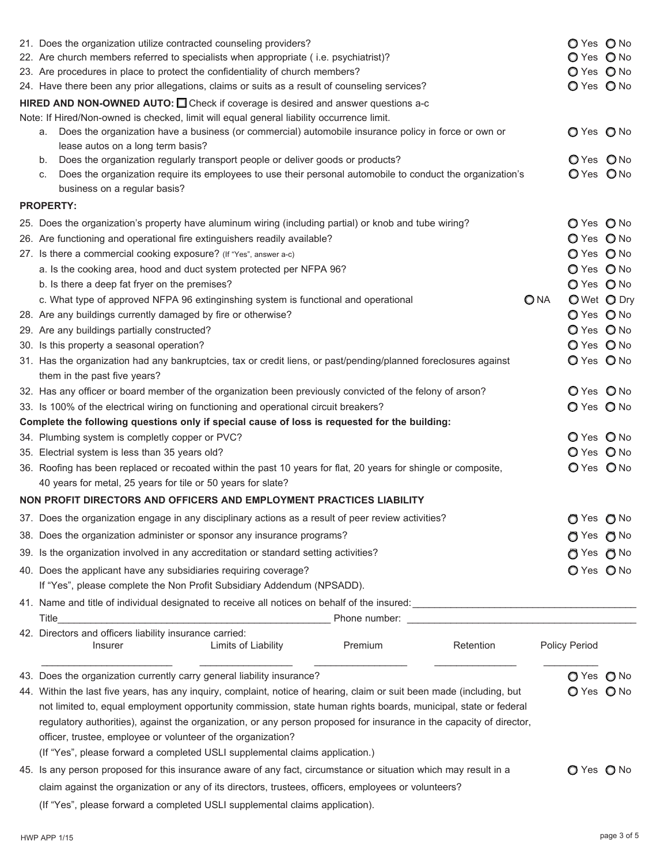|  | 21. Does the organization utilize contracted counseling providers?<br>22. Are church members referred to specialists when appropriate (i.e. psychiatrist)?<br>23. Are procedures in place to protect the confidentiality of church members?<br>24. Have there been any prior allegations, claims or suits as a result of counseling services?<br><b>HIRED AND NON-OWNED AUTO:</b> $\Box$ Check if coverage is desired and answer questions a-c |      | O Yes O No<br>O Yes O No<br>O Yes O No<br>O Yes O No |  |  |
|--|------------------------------------------------------------------------------------------------------------------------------------------------------------------------------------------------------------------------------------------------------------------------------------------------------------------------------------------------------------------------------------------------------------------------------------------------|------|------------------------------------------------------|--|--|
|  | Note: If Hired/Non-owned is checked, limit will equal general liability occurrence limit.<br>Does the organization have a business (or commercial) automobile insurance policy in force or own or<br>а.<br>lease autos on a long term basis?                                                                                                                                                                                                   |      | O Yes O No                                           |  |  |
|  | Does the organization regularly transport people or deliver goods or products?<br>b.<br>Does the organization require its employees to use their personal automobile to conduct the organization's<br>C.<br>business on a regular basis?                                                                                                                                                                                                       |      | OYes ONo<br>O Yes O No                               |  |  |
|  | <b>PROPERTY:</b>                                                                                                                                                                                                                                                                                                                                                                                                                               |      |                                                      |  |  |
|  | 25. Does the organization's property have aluminum wiring (including partial) or knob and tube wiring?                                                                                                                                                                                                                                                                                                                                         |      | O Yes O No                                           |  |  |
|  | 26. Are functioning and operational fire extinguishers readily available?                                                                                                                                                                                                                                                                                                                                                                      |      | O Yes O No                                           |  |  |
|  | 27. Is there a commercial cooking exposure? (If "Yes", answer a-c)                                                                                                                                                                                                                                                                                                                                                                             |      | O Yes O No                                           |  |  |
|  | a. Is the cooking area, hood and duct system protected per NFPA 96?                                                                                                                                                                                                                                                                                                                                                                            |      | O Yes O No                                           |  |  |
|  | b. Is there a deep fat fryer on the premises?                                                                                                                                                                                                                                                                                                                                                                                                  |      | O Yes O No                                           |  |  |
|  | c. What type of approved NFPA 96 extinginshing system is functional and operational                                                                                                                                                                                                                                                                                                                                                            | O NA | O Wet O Dry                                          |  |  |
|  | 28. Are any buildings currently damaged by fire or otherwise?                                                                                                                                                                                                                                                                                                                                                                                  |      | O Yes O No                                           |  |  |
|  | 29. Are any buildings partially constructed?                                                                                                                                                                                                                                                                                                                                                                                                   |      | O Yes O No                                           |  |  |
|  | 30. Is this property a seasonal operation?                                                                                                                                                                                                                                                                                                                                                                                                     |      | O Yes O No                                           |  |  |
|  | 31. Has the organization had any bankruptcies, tax or credit liens, or past/pending/planned foreclosures against                                                                                                                                                                                                                                                                                                                               |      | O Yes O No                                           |  |  |
|  | them in the past five years?                                                                                                                                                                                                                                                                                                                                                                                                                   |      |                                                      |  |  |
|  | 32. Has any officer or board member of the organization been previously convicted of the felony of arson?                                                                                                                                                                                                                                                                                                                                      |      | O Yes O No                                           |  |  |
|  | 33. Is 100% of the electrical wiring on functioning and operational circuit breakers?                                                                                                                                                                                                                                                                                                                                                          |      | O Yes O No                                           |  |  |
|  | Complete the following questions only if special cause of loss is requested for the building:                                                                                                                                                                                                                                                                                                                                                  |      |                                                      |  |  |
|  | 34. Plumbing system is completly copper or PVC?                                                                                                                                                                                                                                                                                                                                                                                                |      | O Yes O No                                           |  |  |
|  | 35. Electrial system is less than 35 years old?                                                                                                                                                                                                                                                                                                                                                                                                |      | O Yes O No                                           |  |  |
|  | 36. Roofing has been replaced or recoated within the past 10 years for flat, 20 years for shingle or composite,                                                                                                                                                                                                                                                                                                                                |      | O Yes O No                                           |  |  |
|  | 40 years for metal, 25 years for tile or 50 years for slate?                                                                                                                                                                                                                                                                                                                                                                                   |      |                                                      |  |  |
|  | NON PROFIT DIRECTORS AND OFFICERS AND EMPLOYMENT PRACTICES LIABILITY                                                                                                                                                                                                                                                                                                                                                                           |      |                                                      |  |  |
|  | 37. Does the organization engage in any disciplinary actions as a result of peer review activities?                                                                                                                                                                                                                                                                                                                                            |      | $OYes$ $O$ No                                        |  |  |
|  | 38. Does the organization administer or sponsor any insurance programs?                                                                                                                                                                                                                                                                                                                                                                        |      | $\bigcirc$ Yes $\bigcirc$ No                         |  |  |
|  | 39. Is the organization involved in any accreditation or standard setting activities?                                                                                                                                                                                                                                                                                                                                                          |      | $\bigcirc$ Yes $\bigcirc$ No                         |  |  |
|  | 40. Does the applicant have any subsidiaries requiring coverage?                                                                                                                                                                                                                                                                                                                                                                               |      | O Yes O No                                           |  |  |
|  | If "Yes", please complete the Non Profit Subsidiary Addendum (NPSADD).                                                                                                                                                                                                                                                                                                                                                                         |      |                                                      |  |  |
|  |                                                                                                                                                                                                                                                                                                                                                                                                                                                |      |                                                      |  |  |
|  | Title<br><u> 1980 - Johann Barn, mars ann an t-Amhain an t-Amhain an t-Amhain an t-Amhain an t-Amhain an t-Amhain an t-Amh</u>                                                                                                                                                                                                                                                                                                                 |      |                                                      |  |  |
|  | 42. Directors and officers liability insurance carried:<br>Retention<br>Limits of Liability<br>Premium<br>Insurer                                                                                                                                                                                                                                                                                                                              |      | Policy Period                                        |  |  |
|  | 43. Does the organization currently carry general liability insurance?                                                                                                                                                                                                                                                                                                                                                                         |      | O Yes O No                                           |  |  |
|  | 44. Within the last five years, has any inquiry, complaint, notice of hearing, claim or suit been made (including, but                                                                                                                                                                                                                                                                                                                         |      | O Yes O No                                           |  |  |
|  | not limited to, equal employment opportunity commission, state human rights boards, municipal, state or federal                                                                                                                                                                                                                                                                                                                                |      |                                                      |  |  |
|  | regulatory authorities), against the organization, or any person proposed for insurance in the capacity of director,                                                                                                                                                                                                                                                                                                                           |      |                                                      |  |  |
|  | officer, trustee, employee or volunteer of the organization?                                                                                                                                                                                                                                                                                                                                                                                   |      |                                                      |  |  |
|  | (If "Yes", please forward a completed USLI supplemental claims application.)                                                                                                                                                                                                                                                                                                                                                                   |      |                                                      |  |  |
|  | 45. Is any person proposed for this insurance aware of any fact, circumstance or situation which may result in a                                                                                                                                                                                                                                                                                                                               |      |                                                      |  |  |
|  | claim against the organization or any of its directors, trustees, officers, employees or volunteers?                                                                                                                                                                                                                                                                                                                                           |      | O Yes O No                                           |  |  |
|  | (If "Yes", please forward a completed USLI supplemental claims application).                                                                                                                                                                                                                                                                                                                                                                   |      |                                                      |  |  |
|  |                                                                                                                                                                                                                                                                                                                                                                                                                                                |      |                                                      |  |  |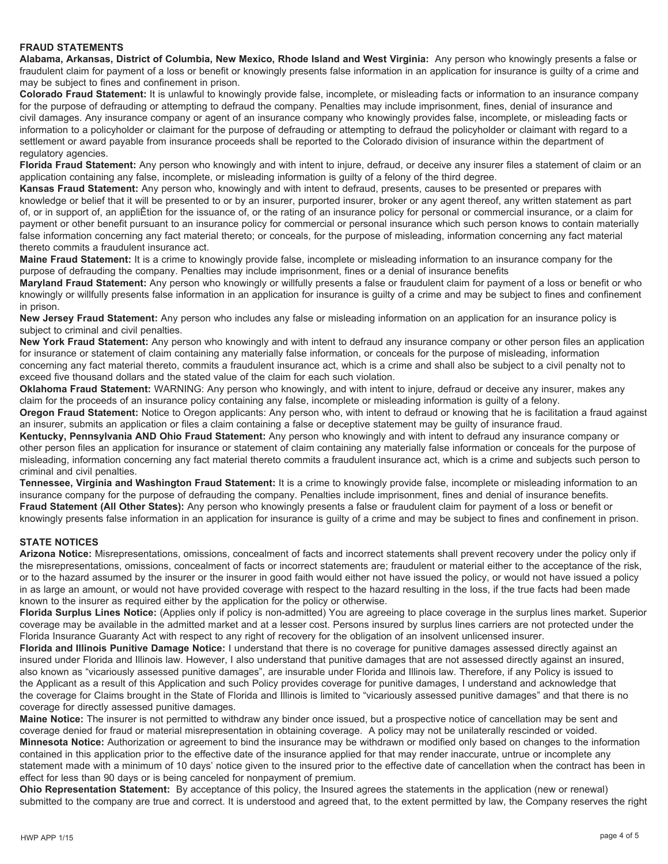## **FRAUD STATEMENTS**

**Alabama, Arkansas, District of Columbia, New Mexico, Rhode Island and West Virginia:** Any person who knowingly presents a false or fraudulent claim for payment of a loss or benefit or knowingly presents false information in an application for insurance is guilty of a crime and may be subject to fines and confinement in prison.

**Colorado Fraud Statement:** It is unlawful to knowingly provide false, incomplete, or misleading facts or information to an insurance company for the purpose of defrauding or attempting to defraud the company. Penalties may include imprisonment, fines, denial of insurance and civil damages. Any insurance company or agent of an insurance company who knowingly provides false, incomplete, or misleading facts or information to a policyholder or claimant for the purpose of defrauding or attempting to defraud the policyholder or claimant with regard to a settlement or award payable from insurance proceeds shall be reported to the Colorado division of insurance within the department of regulatory agencies.

**Florida Fraud Statement:** Any person who knowingly and with intent to injure, defraud, or deceive any insurer files a statement of claim or an application containing any false, incomplete, or misleading information is guilty of a felony of the third degree.

**Kansas Fraud Statement:** Any person who, knowingly and with intent to defraud, presents, causes to be presented or prepares with knowledge or belief that it will be presented to or by an insurer, purported insurer, broker or any agent thereof, any written statement as part of, or in support of, an appliÊtion for the issuance of, or the rating of an insurance policy for personal or commercial insurance, or a claim for payment or other benefit pursuant to an insurance policy for commercial or personal insurance which such person knows to contain materially false information concerning any fact material thereto; or conceals, for the purpose of misleading, information concerning any fact material thereto commits a fraudulent insurance act.

**Maine Fraud Statement:** It is a crime to knowingly provide false, incomplete or misleading information to an insurance company for the purpose of defrauding the company. Penalties may include imprisonment, fines or a denial of insurance benefits

**Maryland Fraud Statement:** Any person who knowingly or willfully presents a false or fraudulent claim for payment of a loss or benefit or who knowingly or willfully presents false information in an application for insurance is guilty of a crime and may be subject to fines and confinement in prison.

**New Jersey Fraud Statement:** Any person who includes any false or misleading information on an application for an insurance policy is subject to criminal and civil penalties.

**New York Fraud Statement:** Any person who knowingly and with intent to defraud any insurance company or other person files an application for insurance or statement of claim containing any materially false information, or conceals for the purpose of misleading, information concerning any fact material thereto, commits a fraudulent insurance act, which is a crime and shall also be subject to a civil penalty not to exceed five thousand dollars and the stated value of the claim for each such violation.

**Oklahoma Fraud Statement:** WARNING: Any person who knowingly, and with intent to injure, defraud or deceive any insurer, makes any claim for the proceeds of an insurance policy containing any false, incomplete or misleading information is guilty of a felony.

**Oregon Fraud Statement:** Notice to Oregon applicants: Any person who, with intent to defraud or knowing that he is facilitation a fraud against an insurer, submits an application or files a claim containing a false or deceptive statement may be guilty of insurance fraud.

**Kentucky, Pennsylvania AND Ohio Fraud Statement:** Any person who knowingly and with intent to defraud any insurance company or other person files an application for insurance or statement of claim containing any materially false information or conceals for the purpose of misleading, information concerning any fact material thereto commits a fraudulent insurance act, which is a crime and subjects such person to criminal and civil penalties.

**Tennessee, Virginia and Washington Fraud Statement:** It is a crime to knowingly provide false, incomplete or misleading information to an insurance company for the purpose of defrauding the company. Penalties include imprisonment, fines and denial of insurance benefits. **Fraud Statement (All Other States):** Any person who knowingly presents a false or fraudulent claim for payment of a loss or benefit or knowingly presents false information in an application for insurance is guilty of a crime and may be subject to fines and confinement in prison.

## **STATE NOTICES**

**Arizona Notice:** Misrepresentations, omissions, concealment of facts and incorrect statements shall prevent recovery under the policy only if the misrepresentations, omissions, concealment of facts or incorrect statements are; fraudulent or material either to the acceptance of the risk, or to the hazard assumed by the insurer or the insurer in good faith would either not have issued the policy, or would not have issued a policy in as large an amount, or would not have provided coverage with respect to the hazard resulting in the loss, if the true facts had been made known to the insurer as required either by the application for the policy or otherwise.

**Florida Surplus Lines Notice:** (Applies only if policy is non-admitted) You are agreeing to place coverage in the surplus lines market. Superior coverage may be available in the admitted market and at a lesser cost. Persons insured by surplus lines carriers are not protected under the Florida Insurance Guaranty Act with respect to any right of recovery for the obligation of an insolvent unlicensed insurer.

**Florida and Illinois Punitive Damage Notice:** I understand that there is no coverage for punitive damages assessed directly against an insured under Florida and Illinois law. However, I also understand that punitive damages that are not assessed directly against an insured, also known as "vicariously assessed punitive damages", are insurable under Florida and Illinois law. Therefore, if any Policy is issued to the Applicant as a result of this Application and such Policy provides coverage for punitive damages, I understand and acknowledge that the coverage for Claims brought in the State of Florida and Illinois is limited to "vicariously assessed punitive damages" and that there is no coverage for directly assessed punitive damages.

**Maine Notice:** The insurer is not permitted to withdraw any binder once issued, but a prospective notice of cancellation may be sent and coverage denied for fraud or material misrepresentation in obtaining coverage. A policy may not be unilaterally rescinded or voided. **Minnesota Notice:** Authorization or agreement to bind the insurance may be withdrawn or modified only based on changes to the information contained in this application prior to the effective date of the insurance applied for that may render inaccurate, untrue or incomplete any statement made with a minimum of 10 days' notice given to the insured prior to the effective date of cancellation when the contract has been in effect for less than 90 days or is being canceled for nonpayment of premium.

**Ohio Representation Statement:** By acceptance of this policy, the Insured agrees the statements in the application (new or renewal) submitted to the company are true and correct. It is understood and agreed that, to the extent permitted by law, the Company reserves the right